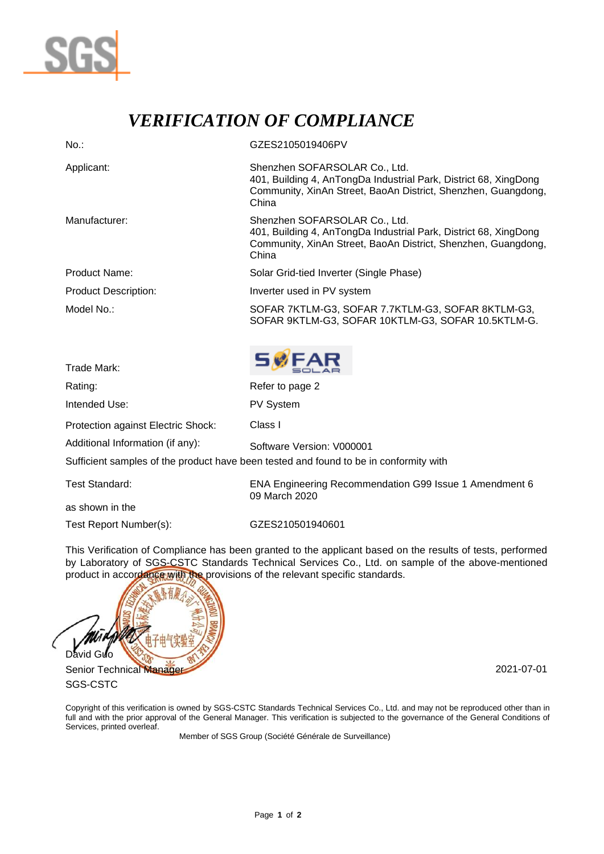

## *VERIFICATION OF COMPLIANCE*

| $No.$ :                                                                               | GZES2105019406PV                                                                                                                                                            |  |  |  |  |
|---------------------------------------------------------------------------------------|-----------------------------------------------------------------------------------------------------------------------------------------------------------------------------|--|--|--|--|
| Applicant:                                                                            | Shenzhen SOFARSOLAR Co., Ltd.<br>401, Building 4, AnTongDa Industrial Park, District 68, XingDong<br>Community, XinAn Street, BaoAn District, Shenzhen, Guangdong,<br>China |  |  |  |  |
| Manufacturer:                                                                         | Shenzhen SOFARSOLAR Co., Ltd.<br>401, Building 4, AnTongDa Industrial Park, District 68, XingDong<br>Community, XinAn Street, BaoAn District, Shenzhen, Guangdong,<br>China |  |  |  |  |
| <b>Product Name:</b>                                                                  | Solar Grid-tied Inverter (Single Phase)                                                                                                                                     |  |  |  |  |
| <b>Product Description:</b>                                                           | Inverter used in PV system                                                                                                                                                  |  |  |  |  |
| Model No.:                                                                            | SOFAR 7KTLM-G3, SOFAR 7.7KTLM-G3, SOFAR 8KTLM-G3,<br>SOFAR 9KTLM-G3, SOFAR 10KTLM-G3, SOFAR 10.5KTLM-G.                                                                     |  |  |  |  |
| Trade Mark:                                                                           | <b>SWFAR</b>                                                                                                                                                                |  |  |  |  |
| Rating:                                                                               | Refer to page 2                                                                                                                                                             |  |  |  |  |
| Intended Use:                                                                         | <b>PV System</b>                                                                                                                                                            |  |  |  |  |
| Protection against Electric Shock:                                                    | Class I                                                                                                                                                                     |  |  |  |  |
| Additional Information (if any):                                                      | Software Version: V000001                                                                                                                                                   |  |  |  |  |
| Sufficient samples of the product have been tested and found to be in conformity with |                                                                                                                                                                             |  |  |  |  |

as shown in the

Test Report Number(s): GZES210501940601

Test Standard: ENA Engineering Recommendation G99 Issue 1 Amendment 6 09 March 2020

This Verification of Compliance has been granted to the applicant based on the results of tests, performed by Laboratory of SGS-CSTC Standards Technical Services Co., Ltd. on sample of the above-mentioned product in accordance with the provisions of the relevant specific standards.



SGS-CSTC

Copyright of this verification is owned by SGS-CSTC Standards Technical Services Co., Ltd. and may not be reproduced other than in full and with the prior approval of the General Manager. This verification is subjected to the governance of the General Conditions of Services, printed overleaf.

Member of SGS Group (Société Générale de Surveillance)